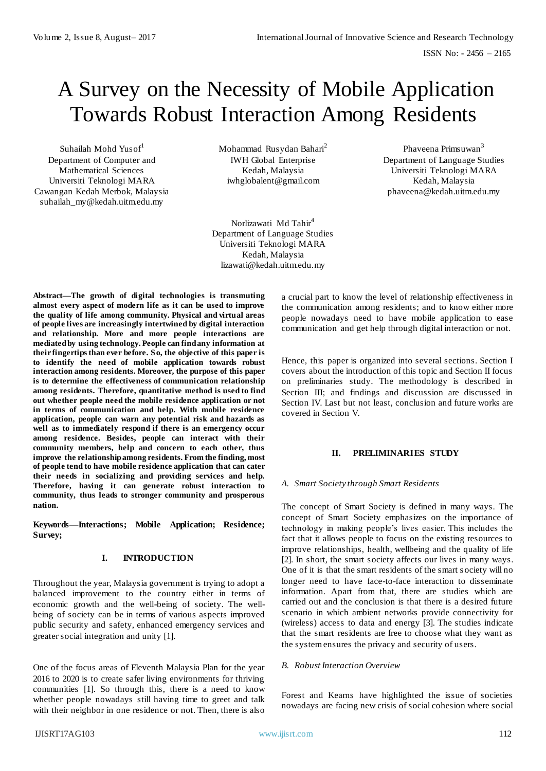# A Survey on the Necessity of Mobile Application Towards Robust Interaction Among Residents

Suhailah Mohd Yusof<sup>1</sup> Department of Computer and Mathematical Sciences Universiti Teknologi MARA Cawangan Kedah Merbok, Malaysia suhailah\_my@kedah.uitm.edu.my

Mohammad Rusydan Bahari<sup>2</sup> IWH Global Enterprise Kedah, Malaysia iwhglobalent@gmail.com

Norlizawati Md Tahir<sup>4</sup> Department of Language Studies Universiti Teknologi MARA Kedah, Malaysia lizawati@kedah.uitm.edu.my

**Abstract—The growth of digital technologies is transmuting almost every aspect of modern life as it can be used to improve the quality of life among community. Physical and virtual areas of people lives are increasingly intertwined by digital interaction and relationship. More and more people interactions are mediated by using technology. People can find any information at their fingertips than ever before. So, the objective of this paper is to identify the need of mobile application towards robust interaction among residents. Moreover, the purpose of this paper is to determine the effectiveness of communication relationship among residents. Therefore, quantitative method is used to find out whether people need the mobile residence application or not in terms of communication and help. With mobile residence application, people can warn any potential risk and hazards as well as to immediately respond if there is an emergency occur among residence. Besides, people can interact with their community members, help and concern to each other, thus improve the relationship among residents. From the finding, most of people tend to have mobile residence application that can cater their needs in socializing and providing services and help. Therefore, having it can generate robust interaction to community, thus leads to stronger community and prosperous nation.** 

**Keywords—Interactions; Mobile Application; Residence; Survey;** 

# **I. INTRODUCTION**

Throughout the year, Malaysia government is trying to adopt a balanced improvement to the country either in terms of economic growth and the well-being of society. The wellbeing of society can be in terms of various aspects improved public security and safety, enhanced emergency services and greater social integration and unity [1].

One of the focus areas of Eleventh Malaysia Plan for the year 2016 to 2020 is to create safer living environments for thriving communities [1]. So through this, there is a need to know whether people nowadays still having time to greet and talk with their neighbor in one residence or not. Then, there is also

Phaveena Primsuwan<sup>3</sup> Department of Language Studies Universiti Teknologi MARA Kedah, Malaysia phaveena@kedah.uitm.edu.my

a crucial part to know the level of relationship effectiveness in the communication among residents; and to know either more people nowadays need to have mobile application to ease communication and get help through digital interaction or not.

Hence, this paper is organized into several sections. Section I covers about the introduction of this topic and Section II focus on preliminaries study. The methodology is described in Section III; and findings and discussion are discussed in Section IV. Last but not least, conclusion and future works are covered in Section V.

# **II. PRELIMINARIES STUDY**

# *A. Smart Society through Smart Residents*

The concept of Smart Society is defined in many ways. The concept of Smart Society emphasizes on the importance of technology in making people's lives easier. This includes the fact that it allows people to focus on the existing resources to improve relationships, health, wellbeing and the quality of life [2]. In short, the smart society affects our lives in many ways. One of it is that the smart residents of the smart society will no longer need to have face-to-face interaction to disseminate information. Apart from that, there are studies which are carried out and the conclusion is that there is a desired future scenario in which ambient networks provide connectivity for (wireless) access to data and energy [3]. The studies indicate that the smart residents are free to choose what they want as the system ensures the privacy and security of users.

#### *B. Robust Interaction Overview*

Forest and Kearns have highlighted the issue of societies nowadays are facing new crisis of social cohesion where social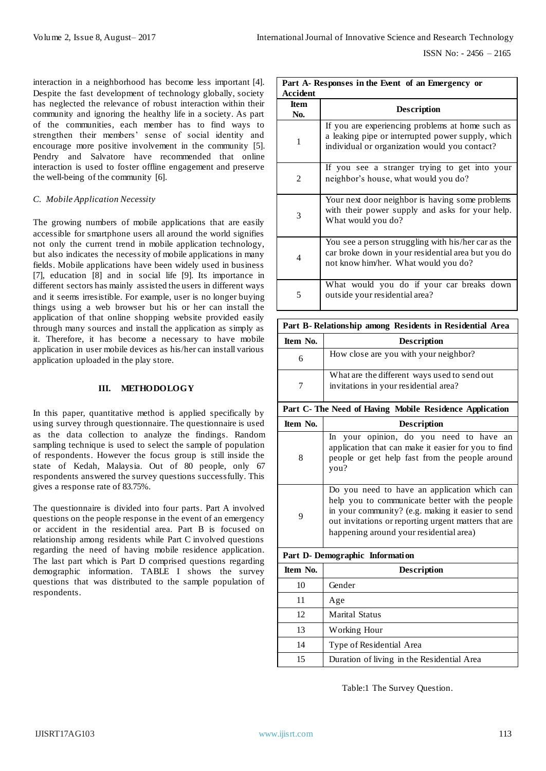interaction in a neighborhood has become less important [4]. Despite the fast development of technology globally, society has neglected the relevance of robust interaction within their community and ignoring the healthy life in a society. As part of the communities, each member has to find ways to strengthen their members' sense of social identity and encourage more positive involvement in the community [5]. Pendry and Salvatore have recommended that online interaction is used to foster offline engagement and preserve the well-being of the community [6].

#### *C. Mobile Application Necessity*

The growing numbers of mobile applications that are easily accessible for smartphone users all around the world signifies not only the current trend in mobile application technology, but also indicates the necessity of mobile applications in many fields. Mobile applications have been widely used in business [7], education [8] and in social life [9]. Its importance in different sectors has mainly assisted the users in different ways and it seems irresistible. For example, user is no longer buying things using a web browser but his or her can install the application of that online shopping website provided easily through many sources and install the application as simply as it. Therefore, it has become a necessary to have mobile application in user mobile devices as his/her can install various application uploaded in the play store.

#### **III. METHODOLOGY**

In this paper, quantitative method is applied specifically by using survey through questionnaire. The questionnaire is used as the data collection to analyze the findings. Random sampling technique is used to select the sample of population of respondents. However the focus group is still inside the state of Kedah, Malaysia. Out of 80 people, only 67 respondents answered the survey questions successfully. This gives a response rate of 83.75%.

The questionnaire is divided into four parts. Part A involved questions on the people response in the event of an emergency or accident in the residential area. Part B is focused on relationship among residents while Part C involved questions regarding the need of having mobile residence application. The last part which is Part D comprised questions regarding demographic information. TABLE I shows the survey questions that was distributed to the sample population of respondents.

| Part A-Responses in the Event of an Emergency or |                                                                                                                                                        |  |  |  |  |  |
|--------------------------------------------------|--------------------------------------------------------------------------------------------------------------------------------------------------------|--|--|--|--|--|
| Accident                                         |                                                                                                                                                        |  |  |  |  |  |
| <b>Item</b><br>No.                               | Description                                                                                                                                            |  |  |  |  |  |
| 1                                                | If you are experiencing problems at home such as<br>a leaking pipe or interrupted power supply, which<br>individual or organization would you contact? |  |  |  |  |  |
| 2                                                | If you see a stranger trying to get into your<br>neighbor's house, what would you do?                                                                  |  |  |  |  |  |
| 3                                                | Your next door neighbor is having some problems<br>with their power supply and asks for your help.<br>What would you do?                               |  |  |  |  |  |
| 4                                                | You see a person struggling with his/her car as the<br>car broke down in your residential area but you do<br>not know him/her. What would you do?      |  |  |  |  |  |
| 5                                                | What would you do if your car breaks down<br>outside your residential area?                                                                            |  |  |  |  |  |

| Part B-Relationship among Residents in Residential Area |                                                                                       |  |  |  |  |
|---------------------------------------------------------|---------------------------------------------------------------------------------------|--|--|--|--|
| Item No.                                                | <b>Description</b>                                                                    |  |  |  |  |
| 6                                                       | How close are you with your neighbor?                                                 |  |  |  |  |
|                                                         | What are the different ways used to send out<br>invitations in your residential area? |  |  |  |  |

# **Part C- The Need of Having Mobile Residence Application**

| Item No.                        | <b>Description</b>                                                                                                                                                                                                                                     |  |  |  |  |  |
|---------------------------------|--------------------------------------------------------------------------------------------------------------------------------------------------------------------------------------------------------------------------------------------------------|--|--|--|--|--|
| 8                               | In your opinion, do you need to have an<br>application that can make it easier for you to find<br>people or get help fast from the people around<br>you?                                                                                               |  |  |  |  |  |
| 9                               | Do you need to have an application which can<br>help you to communicate better with the people<br>in your community? (e.g. making it easier to send<br>out invitations or reporting urgent matters that are<br>happening around your residential area) |  |  |  |  |  |
| Part D- Demographic Information |                                                                                                                                                                                                                                                        |  |  |  |  |  |
| Item No.                        | Description                                                                                                                                                                                                                                            |  |  |  |  |  |
| 10                              | Gender                                                                                                                                                                                                                                                 |  |  |  |  |  |
|                                 |                                                                                                                                                                                                                                                        |  |  |  |  |  |

| ш  | Gender                                     |
|----|--------------------------------------------|
| 11 | Age                                        |
| 12 | <b>Marital Status</b>                      |
| 13 | Working Hour                               |
| 14 | Type of Residential Area                   |
| 15 | Duration of living in the Residential Area |

Table:1 The Survey Question.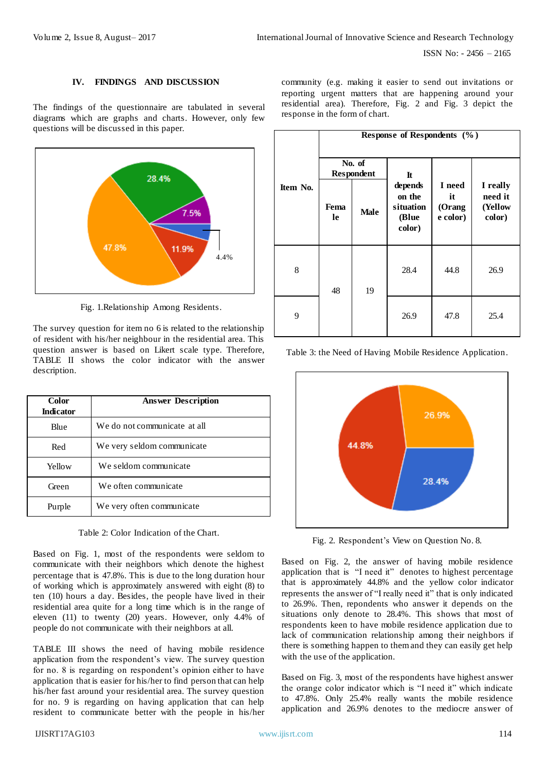#### **IV. FINDINGS AND DISCUSSION**

The findings of the questionnaire are tabulated in several diagrams which are graphs and charts. However, only few questions will be discussed in this paper.



Fig. 1.Relationship Among Residents.

The survey question for item no 6 is related to the relationship of resident with his/her neighbour in the residential area. This question answer is based on Likert scale type. Therefore, TABLE II shows the color indicator with the answer description.

| <b>Color</b>     | <b>Answer Description</b>    |  |  |
|------------------|------------------------------|--|--|
| <b>Indicator</b> |                              |  |  |
| Blue             | We do not communicate at all |  |  |
| Red              | We very seldom communicate.  |  |  |
| Yellow           | We seldom communicate        |  |  |
| Green            | We often communicate         |  |  |
| Purple           | We very often communicate    |  |  |

Table 2: Color Indication of the Chart.

Based on Fig. 1, most of the respondents were seldom to communicate with their neighbors which denote the highest percentage that is 47.8%. This is due to the long duration hour of working which is approximately answered with eight (8) to ten (10) hours a day. Besides, the people have lived in their residential area quite for a long time which is in the range of eleven (11) to twenty (20) years. However, only 4.4% of people do not communicate with their neighbors at all.

TABLE III shows the need of having mobile residence application from the respondent's view. The survey question for no. 8 is regarding on respondent's opinion either to have application that is easier for his/her to find person that can help his/her fast around your residential area. The survey question for no. 9 is regarding on having application that can help resident to communicate better with the people in his/her community (e.g. making it easier to send out invitations or reporting urgent matters that are happening around your residential area). Therefore, Fig. 2 and Fig. 3 depict the response in the form of chart.

|          | Response of Respondents (%) |             |                                                   |                                     |                                          |  |
|----------|-----------------------------|-------------|---------------------------------------------------|-------------------------------------|------------------------------------------|--|
| Item No. | No. of<br><b>Respondent</b> |             | $\mathbf{I}$ t                                    |                                     |                                          |  |
|          | Fema<br><b>le</b>           | <b>Male</b> | depends<br>on the<br>situation<br>(Blue<br>color) | I need<br>it<br>(Orang)<br>e color) | I really<br>need it<br>(Yellow<br>color) |  |
| 8        | 48                          | 19          | 28.4                                              | 44.8                                | 26.9                                     |  |
| 9        |                             |             | 26.9                                              | 47.8                                | 25.4                                     |  |

Table 3: the Need of Having Mobile Residence Application.



Fig. 2. Respondent's View on Question No. 8.

Based on Fig. 2, the answer of having mobile residence application that is "I need it" denotes to highest percentage that is approximately 44.8% and the yellow color indicator represents the answer of "I really need it" that is only indicated to 26.9%. Then, repondents who answer it depends on the situations only denote to 28.4%. This shows that most of respondents keen to have mobile residence application due to lack of communication relationship among their neighbors if there is something happen to them and they can easily get help with the use of the application.

Based on Fig. 3, most of the respondents have highest answer the orange color indicator which is "I need it" which indicate to 47.8%. Only 25.4% really wants the mobile residence application and 26.9% denotes to the mediocre answer of